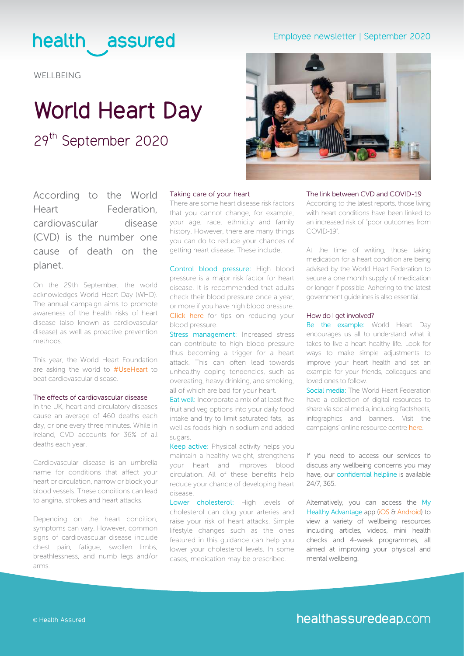### health assured

**WELLBEING** 

## **World Heart Day** 29<sup>th</sup> September 2020

According to the World Heart Federation, cardiovascular disease (CVD) is the number one cause of death on the planet.

On the 29th September, the world acknowledges World Heart Day (WHD). The annual campaign aims to promote awareness of the health risks of heart disease (also known as cardiovascular disease) as well as proactive prevention methods.

This year, the World Heart Foundation are asking the world to [#UseHeart](https://www.world-heart-federation.org/world-heart-day/world-heart-day-2020/) to beat cardiovascular disease.

#### The effects of cardiovascular disease

In the UK, heart and circulatory diseases cause an average of 460 deaths each day, or one every three minutes. While in Ireland, CVD accounts for 36% of all deaths each year.

Cardiovascular disease is an umbrella name for conditions that affect your heart or circulation, narrow or block your blood vessels. These conditions can lead to angina, strokes and heart attacks.

Depending on the heart condition, symptoms can vary. However, common signs of cardiovascular disease include chest pain, fatigue, swollen limbs, breathlessness, and numb legs and/or arms.

#### Taking care of your heart

There are some heart disease risk factors that you cannot change, for example, your age, race, ethnicity and family history. However, there are many things you can do to reduce your chances of getting heart disease. These include:

Control blood pressure: High blood pressure is a major risk factor for heart disease. It is recommended that adults check their blood pressure once a year, or more if you have high blood pressure. [Click here](https://www.bhf.org.uk/informationsupport/heart-matters-magazine/research/blood-pressure/blood-pressure-tips) for tips on reducing your blood pressure.

Stress management: Increased stress can contribute to high blood pressure thus becoming a trigger for a heart attack. This can often lead towards unhealthy coping tendencies, such as overeating, heavy drinking, and smoking, all of which are bad for your heart.

Eat well: Incorporate a mix of at least five fruit and veg options into your daily food intake and try to limit saturated fats, as well as foods high in sodium and added sugars.

Keep active: Physical activity helps you maintain a healthy weight, strengthens your heart and improves blood circulation. All of these benefits help reduce your chance of developing heart disease.

Lower cholesterol: High levels of cholesterol can clog your arteries and raise your risk of heart attacks. Simple lifestyle changes such as the ones featured in this guidance can help you lower your cholesterol levels. In some cases, medication may be prescribed.

### Employee newsletter | September 2020



### The link between CVD and COVID-19

According to the latest reports, those living with heart conditions have been linked to an increased risk of "poor outcomes from COVID-19".

At the time of writing, those taking medication for a heart condition are being advised by the World Heart Federation to secure a one month supply of medication or longer if possible. Adhering to the latest government guidelines is also essential.

#### How do I get involved?

Be the example: World Heart Day encourages us all to understand what it takes to live a heart healthy life. Look for ways to make simple adjustments to improve your heart health and set an example for your friends, colleagues and loved ones to follow.

Social media: The World Heart Federation have a collection of digital resources to share via social media, including factsheets, infographics and banners. Visit the campaigns' online resource centre [here](https://www.world-heart-federation.org/world-heart-day/whd-resources/).

If you need to access our services to discuss any wellbeing concerns you may have, our confidential helpline is available 24/7, 365.

Alternatively, you can access the My Healthy Advantage app [\(iOS](https://apps.apple.com/gb/app/my-healthy-advantage/id1484810687) & [Android](https://play.google.com/store/apps/details?id=com.healthassured.app)) to view a variety of wellbeing resources including articles, videos, mini health checks and 4-week programmes, all aimed at improving your physical and mental wellbeing.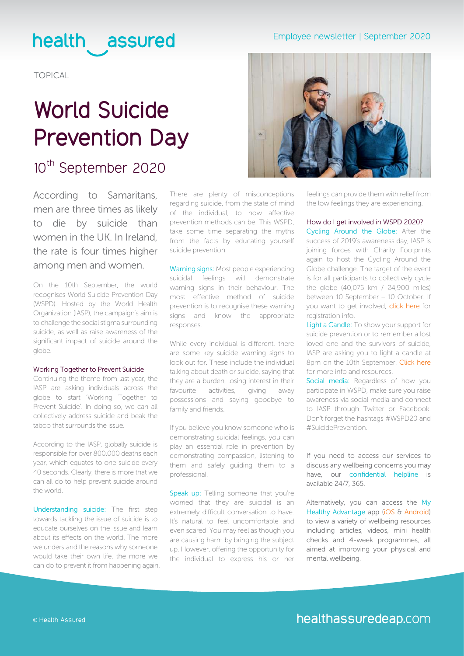### Employee newsletter | September 2020

## health assured

TOPICAL

# **World Suicide Prevention Day**

### 10<sup>th</sup> September 2020

According to Samaritans, men are three times as likely to die by suicide than women in the UK. In Ireland, the rate is four times higher among men and women.

On the 10th September, the world recognises World Suicide Prevention Day (WSPD). Hosted by the World Health Organization (IASP), the campaign's aim is to challenge the social stigma surrounding suicide, as well as raise awareness of the significant impact of suicide around the globe.

#### Working Together to Prevent Suicide

Continuing the theme from last year, the IASP are asking individuals across the globe to start 'Working Together to Prevent Suicide'. In doing so, we can all collectively address suicide and beak the taboo that surrounds the issue.

According to the IASP, globally suicide is responsible for over 800,000 deaths each year, which equates to one suicide every 40 seconds. Clearly, there is more that we can all do to help prevent suicide around the world.

Understanding suicide: The first step towards tackling the issue of suicide is to educate ourselves on the issue and learn about its effects on the world. The more we understand the reasons why someone would take their own life, the more we can do to prevent it from happening again. There are plenty of misconceptions regarding suicide, from the state of mind of the individual, to how affective prevention methods can be. This WSPD, take some time separating the myths from the facts by educating yourself suicide prevention.

Warning signs: Most people experiencing suicidal feelings will demonstrate warning signs in their behaviour. The most effective method of suicide prevention is to recognise these warning signs and know the appropriate responses.

While every individual is different, there are some key suicide warning signs to look out for. These include the individual talking about death or suicide, saying that they are a burden, losing interest in their favourite activities, giving away possessions and saying goodbye to family and friends.

If you believe you know someone who is demonstrating suicidal feelings, you can play an essential role in prevention by demonstrating compassion, listening to them and safely guiding them to a professional.

Speak up: Telling someone that you're worried that they are suicidal is an extremely difficult conversation to have. It's natural to feel uncomfortable and even scared. You may feel as though you are causing harm by bringing the subject up. However, offering the opportunity for the individual to express his or her



feelings can provide them with relief from the low feelings they are experiencing.

How do I get involved in WSPD 2020? Cycling Around the Globe: After the success of 2019's awareness day, IASP is joining forces with Charity Footprints again to host the Cycling Around the Globe challenge. The target of the event is for all participants to collectively cycle the globe (40,075 km / 24,900 miles) between 10 September – 10 October. If you want to get involved, [click here](https://www.iasp.info/wspd2020/cycle-around-the-globe/) for registration info.

Light a Candle: To show your support for suicide prevention or to remember a lost loved one and the survivors of suicide, IASP are asking you to light a candle at 8pm on the 10th September. Click here for more info and resources.

Social media: Regardless of how you participate in WSPD, make sure you raise awareness via social media and connect to IASP through [Twitter](https://twitter.com/iaspinfo?lang=en) or [Facebook](https://www.facebook.com/IASPinfo/). Don't forget the hashtags [#WSPD20](https://twitter.com/search?q=%23WSPD20%20&src=typed_query) and [#SuicidePrevention](https://twitter.com/hashtag/suicideprevention?ref_src=twsrc%5Egoogle%7Ctwcamp%5Eserp%7Ctwgr%5Ehashtag).

### If you need to access our services to discuss any wellbeing concerns you may have, our confidential helpline is available 24/7, 365.

Alternatively, you can access the My Healthy Advantage app [\(iOS](https://apps.apple.com/gb/app/my-healthy-advantage/id1484810687) & [Android](https://play.google.com/store/apps/details?id=com.healthassured.app)) to view a variety of wellbeing resources including articles, videos, mini health checks and 4-week programmes, all aimed at improving your physical and mental wellbeing.